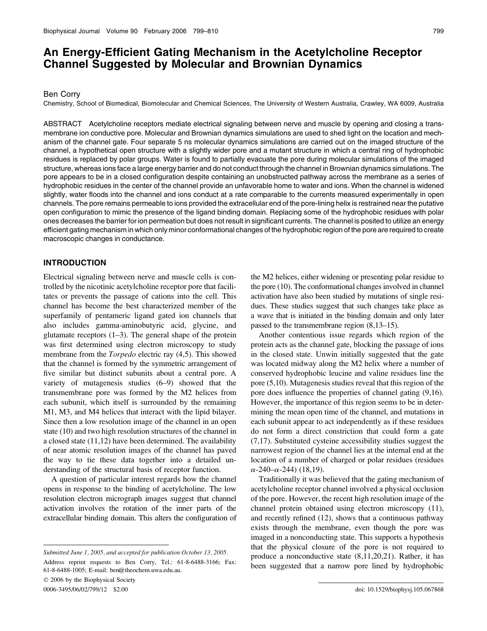# An Energy-Efficient Gating Mechanism in the Acetylcholine Receptor Channel Suggested by Molecular and Brownian Dynamics

### Ben Corry

Chemistry, School of Biomedical, Biomolecular and Chemical Sciences, The University of Western Australia, Crawley, WA 6009, Australia

ABSTRACT Acetylcholine receptors mediate electrical signaling between nerve and muscle by opening and closing a transmembrane ion conductive pore. Molecular and Brownian dynamics simulations are used to shed light on the location and mechanism of the channel gate. Four separate 5 ns molecular dynamics simulations are carried out on the imaged structure of the channel, a hypothetical open structure with a slightly wider pore and a mutant structure in which a central ring of hydrophobic residues is replaced by polar groups. Water is found to partially evacuate the pore during molecular simulations of the imaged structure, whereas ions face a large energy barrier and do not conduct through the channel in Brownian dynamics simulations. The pore appears to be in a closed configuration despite containing an unobstructed pathway across the membrane as a series of hydrophobic residues in the center of the channel provide an unfavorable home to water and ions. When the channel is widened slightly, water floods into the channel and ions conduct at a rate comparable to the currents measured experimentally in open channels. The pore remains permeable to ions provided the extracellular end of the pore-lining helix is restrained near the putative open configuration to mimic the presence of the ligand binding domain. Replacing some of the hydrophobic residues with polar ones decreases the barrier for ion permeation but does not result in significant currents. The channel is posited to utilize an energy efficient gating mechanism in which only minor conformational changes of the hydrophobic region of the pore are required to create macroscopic changes in conductance.

## INTRODUCTION

Electrical signaling between nerve and muscle cells is controlled by the nicotinic acetylcholine receptor pore that facilitates or prevents the passage of cations into the cell. This channel has become the best characterized member of the superfamily of pentameric ligand gated ion channels that also includes gamma-aminobutyric acid, glycine, and glutamate receptors (1–3). The general shape of the protein was first determined using electron microscopy to study membrane from the *Torpedo* electric ray  $(4,5)$ . This showed that the channel is formed by the symmetric arrangement of five similar but distinct subunits about a central pore. A variety of mutagenesis studies (6–9) showed that the transmembrane pore was formed by the M2 helices from each subunit, which itself is surrounded by the remaining M1, M3, and M4 helices that interact with the lipid bilayer. Since then a low resolution image of the channel in an open state (10) and two high resolution structures of the channel in a closed state (11,12) have been determined. The availability of near atomic resolution images of the channel has paved the way to tie these data together into a detailed understanding of the structural basis of receptor function.

A question of particular interest regards how the channel opens in response to the binding of acetylcholine. The low resolution electron micrograph images suggest that channel activation involves the rotation of the inner parts of the extracellular binding domain. This alters the configuration of

Submitted June 1, 2005, and accepted for publication October 13, 2005. Address reprint requests to Ben Corry, Tel.: 61-8-6488-3166; Fax: 61-8-6488-1005; E-mail: ben@theochem.uwa.edu.au.

2006 by the Biophysical Society

the M2 helices, either widening or presenting polar residue to the pore (10). The conformational changes involved in channel activation have also been studied by mutations of single residues. These studies suggest that such changes take place as a wave that is initiated in the binding domain and only later passed to the transmembrane region (8,13–15).

Another contentious issue regards which region of the protein acts as the channel gate, blocking the passage of ions in the closed state. Unwin initially suggested that the gate was located midway along the M2 helix where a number of conserved hydrophobic leucine and valine residues line the pore (5,10). Mutagenesis studies reveal that this region of the pore does influence the properties of channel gating (9,16). However, the importance of this region seems to be in determining the mean open time of the channel, and mutations in each subunit appear to act independently as if these residues do not form a direct constriction that could form a gate (7,17). Substituted cysteine accessibility studies suggest the narrowest region of the channel lies at the internal end at the location of a number of charged or polar residues (residues  $\alpha$ -240– $\alpha$ -244) (18,19).

Traditionally it was believed that the gating mechanism of acetylcholine receptor channel involved a physical occlusion of the pore. However, the recent high resolution image of the channel protein obtained using electron microscopy (11), and recently refined (12), shows that a continuous pathway exists through the membrane, even though the pore was imaged in a nonconducting state. This supports a hypothesis that the physical closure of the pore is not required to produce a nonconductive state (8,11,20,21). Rather, it has been suggested that a narrow pore lined by hydrophobic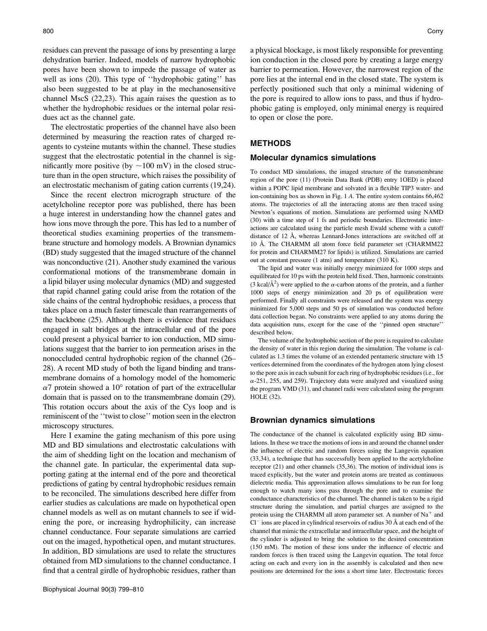residues can prevent the passage of ions by presenting a large dehydration barrier. Indeed, models of narrow hydrophobic pores have been shown to impede the passage of water as well as ions (20). This type of ''hydrophobic gating'' has also been suggested to be at play in the mechanosensitive channel MscS (22,23). This again raises the question as to whether the hydrophobic residues or the internal polar residues act as the channel gate.

The electrostatic properties of the channel have also been determined by measuring the reaction rates of charged reagents to cysteine mutants within the channel. These studies suggest that the electrostatic potential in the channel is significantly more positive (by  $\sim$ 100 mV) in the closed structure than in the open structure, which raises the possibility of an electrostatic mechanism of gating cation currents (19,24).

Since the recent electron micrograph structure of the acetylcholine receptor pore was published, there has been a huge interest in understanding how the channel gates and how ions move through the pore. This has led to a number of theoretical studies examining properties of the transmembrane structure and homology models. A Brownian dynamics (BD) study suggested that the imaged structure of the channel was nonconductive (21). Another study examined the various conformational motions of the transmembrane domain in a lipid bilayer using molecular dynamics (MD) and suggested that rapid channel gating could arise from the rotation of the side chains of the central hydrophobic residues, a process that takes place on a much faster timescale than rearrangements of the backbone (25). Although there is evidence that residues engaged in salt bridges at the intracellular end of the pore could present a physical barrier to ion conduction, MD simulations suggest that the barrier to ion permeation arises in the nonoccluded central hydrophobic region of the channel (26– 28). A recent MD study of both the ligand binding and transmembrane domains of a homology model of the homomeric  $\alpha$ 7 protein showed a 10 $^{\circ}$  rotation of part of the extracellular domain that is passed on to the transmembrane domain (29). This rotation occurs about the axis of the Cys loop and is reminiscent of the ''twist to close'' motion seen in the electron microscopy structures.

Here I examine the gating mechanism of this pore using MD and BD simulations and electrostatic calculations with the aim of shedding light on the location and mechanism of the channel gate. In particular, the experimental data supporting gating at the internal end of the pore and theoretical predictions of gating by central hydrophobic residues remain to be reconciled. The simulations described here differ from earlier studies as calculations are made on hypothetical open channel models as well as on mutant channels to see if widening the pore, or increasing hydrophilicity, can increase channel conductance. Four separate simulations are carried out on the imaged, hypothetical open, and mutant structures. In addition, BD simulations are used to relate the structures obtained from MD simulations to the channel conductance. I find that a central girdle of hydrophobic residues, rather than a physical blockage, is most likely responsible for preventing ion conduction in the closed pore by creating a large energy barrier to permeation. However, the narrowest region of the pore lies at the internal end in the closed state. The system is perfectly positioned such that only a minimal widening of the pore is required to allow ions to pass, and thus if hydrophobic gating is employed, only minimal energy is required to open or close the pore.

## METHODS

#### Molecular dynamics simulations

To conduct MD simulations, the imaged structure of the transmembrane region of the pore (11) (Protein Data Bank (PDB) entry 1OED) is placed within a POPC lipid membrane and solvated in a flexible TIP3 water- and ion-containing box as shown in Fig. 1 A. The entire system contains 66,462 atoms. The trajectories of all the interacting atoms are then traced using Newton's equations of motion. Simulations are performed using NAMD (30) with a time step of 1 fs and periodic boundaries. Electrostatic interactions are calculated using the particle mesh Ewald scheme with a cutoff distance of 12  $\AA$ , whereas Lennard-Jones interactions are switched off at 10 Å. The CHARMM all atom force field parameter set (CHARMM22) for protein and CHARMM27 for lipids) is utilized. Simulations are carried out at constant pressure (1 atm) and temperature (310 K).

The lipid and water was initially energy minimized for 1000 steps and equilibrated for 10 ps with the protein held fixed. Then, harmonic constraints (3 kcal/ $\AA^2$ ) were applied to the  $\alpha$ -carbon atoms of the protein, and a further 1000 steps of energy minimization and 20 ps of equilibration were performed. Finally all constraints were released and the system was energy minimized for 5,000 steps and 50 ps of simulation was conducted before data collection began. No constraints were applied to any atoms during the data acquisition runs, except for the case of the ''pinned open structure'' described below.

The volume of the hydrophobic section of the pore is required to calculate the density of water in this region during the simulation. The volume is calculated as 1.3 times the volume of an extended pentameric structure with 15 vertices determined from the coordinates of the hydrogen atom lying closest to the pore axis in each subunit for each ring of hydrophobic residues (i.e., for  $\alpha$ -251, 255, and 259). Trajectory data were analyzed and visualized using the program VMD (31), and channel radii were calculated using the program HOLE (32).

## Brownian dynamics simulations

The conductance of the channel is calculated explicitly using BD simulations. In these we trace the motions of ions in and around the channel under the influence of electric and random forces using the Langevin equation (33,34), a technique that has successfully been applied to the acetylcholine receptor (21) and other channels (35,36). The motion of individual ions is traced explicitly, but the water and protein atoms are treated as continuous dielectric media. This approximation allows simulations to be run for long enough to watch many ions pass through the pore and to examine the conductance characteristics of the channel. The channel is taken to be a rigid structure during the simulation, and partial charges are assigned to the protein using the CHARMM all atom parameter set. A number of  $Na<sup>+</sup>$  and  $Cl<sup>-</sup>$  ions are placed in cylindrical reservoirs of radius 30 Å at each end of the channel that mimic the extracellular and intracellular space, and the height of the cylinder is adjusted to bring the solution to the desired concentration (150 mM). The motion of these ions under the influence of electric and random forces is then traced using the Langevin equation. The total force acting on each and every ion in the assembly is calculated and then new positions are determined for the ions a short time later. Electrostatic forces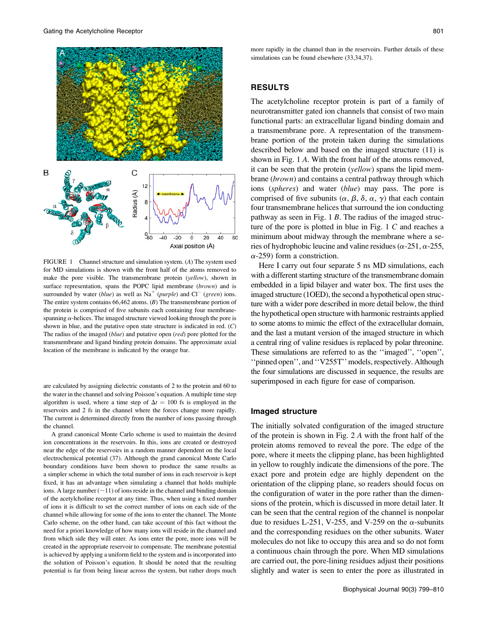

FIGURE 1 Channel structure and simulation system. (A) The system used for MD simulations is shown with the front half of the atoms removed to make the pore visible. The transmembrane protein (yellow), shown in surface representation, spans the POPC lipid membrane (brown) and is surrounded by water (*blue*) as well as  $Na^+$  (*purple*) and  $Cl^-$  (*green*) ions. The entire system contains 66,462 atoms. (B) The transmembrane portion of the protein is comprised of five subunits each containing four membranespanning  $\alpha$ -helices. The imaged structure viewed looking through the pore is shown in blue, and the putative open state structure is indicated in red.  $(C)$ The radius of the imaged (blue) and putative open (red) pore plotted for the transmembrane and ligand binding protein domains. The approximate axial location of the membrane is indicated by the orange bar.

are calculated by assigning dielectric constants of 2 to the protein and 60 to the water in the channel and solving Poisson's equation. A multiple time step algorithm is used, where a time step of  $\Delta t = 100$  fs is employed in the reservoirs and 2 fs in the channel where the forces change more rapidly. The current is determined directly from the number of ions passing through the channel.

A grand canonical Monte Carlo scheme is used to maintain the desired ion concentrations in the reservoirs. In this, ions are created or destroyed near the edge of the reservoirs in a random manner dependent on the local electrochemical potential (37). Although the grand canonical Monte Carlo boundary conditions have been shown to produce the same results as a simpler scheme in which the total number of ions in each reservoir is kept fixed, it has an advantage when simulating a channel that holds multiple ions. A large number  $(\sim 11)$  of ions reside in the channel and binding domain of the acetylcholine receptor at any time. Thus, when using a fixed number of ions it is difficult to set the correct number of ions on each side of the channel while allowing for some of the ions to enter the channel. The Monte Carlo scheme, on the other hand, can take account of this fact without the need for a priori knowledge of how many ions will reside in the channel and from which side they will enter. As ions enter the pore, more ions will be created in the appropriate reservoir to compensate. The membrane potential is achieved by applying a uniform field to the system and is incorporated into the solution of Poisson's equation. It should be noted that the resulting potential is far from being linear across the system, but rather drops much

more rapidly in the channel than in the reservoirs. Further details of these simulations can be found elsewhere (33,34,37).

## RESULTS

The acetylcholine receptor protein is part of a family of neurotransmitter gated ion channels that consist of two main functional parts: an extracellular ligand binding domain and a transmembrane pore. A representation of the transmembrane portion of the protein taken during the simulations described below and based on the imaged structure (11) is shown in Fig. 1 A. With the front half of the atoms removed, it can be seen that the protein (yellow) spans the lipid membrane (brown) and contains a central pathway through which ions (spheres) and water (blue) may pass. The pore is comprised of five subunits  $(\alpha, \beta, \delta, \alpha, \gamma)$  that each contain four transmembrane helices that surround the ion conducting pathway as seen in Fig. 1 B. The radius of the imaged structure of the pore is plotted in blue in Fig. 1 C and reaches a minimum about midway through the membrane where a series of hydrophobic leucine and valine residues ( $\alpha$ -251,  $\alpha$ -255,  $\alpha$ -259) form a constriction.

Here I carry out four separate 5 ns MD simulations, each with a different starting structure of the transmembrane domain embedded in a lipid bilayer and water box. The first uses the imaged structure (1OED), the second a hypothetical open structure with a wider pore described in more detail below, the third the hypothetical open structure with harmonic restraints applied to some atoms to mimic the effect of the extracellular domain, and the last a mutant version of the imaged structure in which a central ring of valine residues is replaced by polar threonine. These simulations are referred to as the ''imaged'', ''open'', ''pinned open'', and ''V255T'' models, respectively. Although the four simulations are discussed in sequence, the results are superimposed in each figure for ease of comparison.

#### Imaged structure

The initially solvated configuration of the imaged structure of the protein is shown in Fig. 2 A with the front half of the protein atoms removed to reveal the pore. The edge of the pore, where it meets the clipping plane, has been highlighted in yellow to roughly indicate the dimensions of the pore. The exact pore and protein edge are highly dependent on the orientation of the clipping plane, so readers should focus on the configuration of water in the pore rather than the dimensions of the protein, which is discussed in more detail later. It can be seen that the central region of the channel is nonpolar due to residues L-251, V-255, and V-259 on the  $\alpha$ -subunits and the corresponding residues on the other subunits. Water molecules do not like to occupy this area and so do not form a continuous chain through the pore. When MD simulations are carried out, the pore-lining residues adjust their positions slightly and water is seen to enter the pore as illustrated in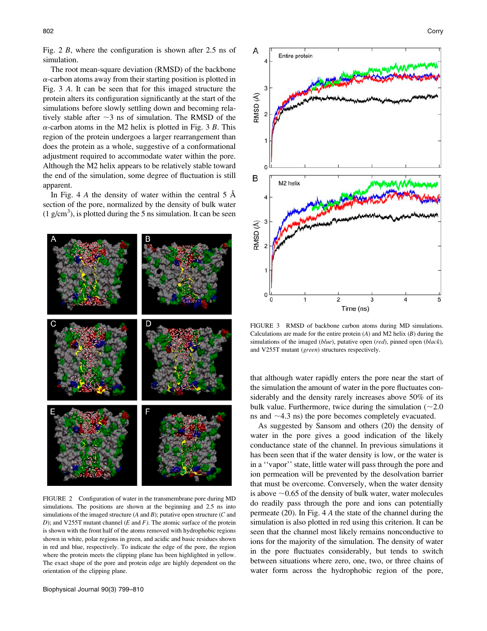Fig. 2 B, where the configuration is shown after 2.5 ns of simulation.

The root mean-square deviation (RMSD) of the backbone  $\alpha$ -carbon atoms away from their starting position is plotted in Fig. 3 A. It can be seen that for this imaged structure the protein alters its configuration significantly at the start of the simulations before slowly settling down and becoming relatively stable after  $\sim$ 3 ns of simulation. The RMSD of the  $\alpha$ -carbon atoms in the M2 helix is plotted in Fig. 3 B. This region of the protein undergoes a larger rearrangement than does the protein as a whole, suggestive of a conformational adjustment required to accommodate water within the pore. Although the M2 helix appears to be relatively stable toward the end of the simulation, some degree of fluctuation is still apparent.

In Fig. 4 A the density of water within the central 5  $\AA$ section of the pore, normalized by the density of bulk water  $(1 \text{ g/cm}^3)$ , is plotted during the 5 ns simulation. It can be seen



FIGURE 2 Configuration of water in the transmembrane pore during MD simulations. The positions are shown at the beginning and 2.5 ns into simulations of the imaged structure  $(A \text{ and } B)$ ; putative open structure  $(C \text{ and } B)$ D); and V255T mutant channel  $(E \text{ and } F)$ . The atomic surface of the protein is shown with the front half of the atoms removed with hydrophobic regions shown in white, polar regions in green, and acidic and basic residues shown in red and blue, respectively. To indicate the edge of the pore, the region where the protein meets the clipping plane has been highlighted in yellow. The exact shape of the pore and protein edge are highly dependent on the orientation of the clipping plane.



FIGURE 3 RMSD of backbone carbon atoms during MD simulations. Calculations are made for the entire protein  $(A)$  and M2 helix  $(B)$  during the simulations of the imaged (blue), putative open (red), pinned open (black), and V255T mutant (green) structures respectively.

that although water rapidly enters the pore near the start of the simulation the amount of water in the pore fluctuates considerably and the density rarely increases above 50% of its bulk value. Furthermore, twice during the simulation  $(\sim 2.0$ ns and  $\sim$ 4.3 ns) the pore becomes completely evacuated.

As suggested by Sansom and others (20) the density of water in the pore gives a good indication of the likely conductance state of the channel. In previous simulations it has been seen that if the water density is low, or the water is in a ''vapor'' state, little water will pass through the pore and ion permeation will be prevented by the desolvation barrier that must be overcome. Conversely, when the water density is above  $\sim$  0.65 of the density of bulk water, water molecules do readily pass through the pore and ions can potentially permeate (20). In Fig. 4 A the state of the channel during the simulation is also plotted in red using this criterion. It can be seen that the channel most likely remains nonconductive to ions for the majority of the simulation. The density of water in the pore fluctuates considerably, but tends to switch between situations where zero, one, two, or three chains of water form across the hydrophobic region of the pore,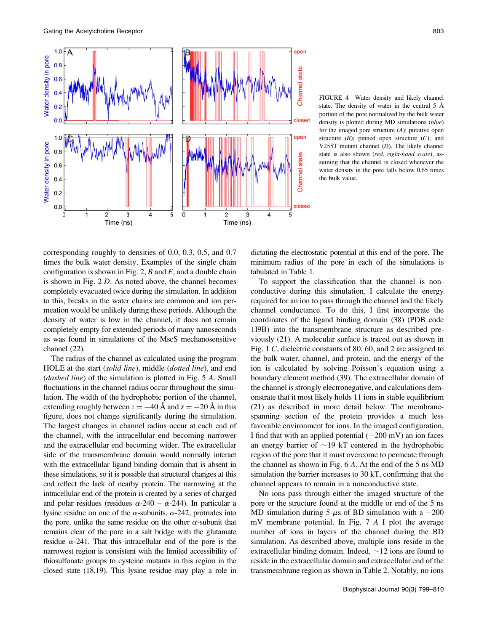

FIGURE 4 Water density and likely channel state. The density of water in the central  $5 \text{ Å}$ portion of the pore normalized by the bulk water density is plotted during MD simulations (blue) for the imaged pore structure  $(A)$ ; putative open structure  $(B)$ ; pinned open structure  $(C)$ ; and V255T mutant channel  $(D)$ . The likely channel state is also shown (red, right-hand scale), assuming that the channel is closed whenever the water density in the pore falls below 0.65 times the bulk value.

corresponding roughly to densities of 0.0, 0.3, 0.5, and 0.7 times the bulk water density. Examples of the single chain configuration is shown in Fig. 2,  $B$  and  $E$ , and a double chain is shown in Fig. 2 D. As noted above, the channel becomes completely evacuated twice during the simulation. In addition to this, breaks in the water chains are common and ion permeation would be unlikely during these periods. Although the density of water is low in the channel, it does not remain completely empty for extended periods of many nanoseconds as was found in simulations of the MscS mechanosensitive channel (22).

The radius of the channel as calculated using the program HOLE at the start (solid line), middle (dotted line), and end (dashed line) of the simulation is plotted in Fig. 5 A. Small fluctuations in the channel radius occur throughout the simulation. The width of the hydrophobic portion of the channel, extending roughly between  $z = -40 \text{ Å}$  and  $z = -20 \text{ Å}$  in this figure, does not change significantly during the simulation. The largest changes in channel radius occur at each end of the channel, with the intracellular end becoming narrower and the extracellular end becoming wider. The extracellular side of the transmembrane domain would normally interact with the extracellular ligand binding domain that is absent in these simulations, so it is possible that structural changes at this end reflect the lack of nearby protein. The narrowing at the intracellular end of the protein is created by a series of charged and polar residues (residues  $\alpha$ -240 –  $\alpha$ -244). In particular a lysine residue on one of the  $\alpha$ -subunits,  $\alpha$ -242, protrudes into the pore, unlike the same residue on the other  $\alpha$ -subunit that remains clear of the pore in a salt bridge with the glutamate residue  $\alpha$ -241. That this intracellular end of the pore is the narrowest region is consistent with the limited accessibility of thiosulfonate groups to cysteine mutants in this region in the closed state (18,19). This lysine residue may play a role in dictating the electrostatic potential at this end of the pore. The minimum radius of the pore in each of the simulations is tabulated in Table 1.

To support the classification that the channel is nonconductive during this simulation, I calculate the energy required for an ion to pass through the channel and the likely channel conductance. To do this, I first incorporate the coordinates of the ligand binding domain (38) (PDB code 1I9B) into the transmembrane structure as described previously (21). A molecular surface is traced out as shown in Fig. 1 C, dielectric constants of 80, 60, and 2 are assigned to the bulk water, channel, and protein, and the energy of the ion is calculated by solving Poisson's equation using a boundary element method (39). The extracellular domain of the channel is strongly electronegative, and calculations demonstrate that it most likely holds 11 ions in stable equilibrium (21) as described in more detail below. The membranespanning section of the protein provides a much less favorable environment for ions. In the imaged configuration, I find that with an applied potential  $(-200 \text{ mV})$  an ion faces an energy barrier of  $\sim$ 19 kT centered in the hydrophobic region of the pore that it must overcome to permeate through the channel as shown in Fig. 6 A. At the end of the 5 ns MD simulation the barrier increases to 30 kT, confirming that the channel appears to remain in a nonconductive state.

No ions pass through either the imaged structure of the pore or the structure found at the middle or end of the 5 ns MD simulation during 5  $\mu$ s of BD simulation with a  $-200$ mV membrane potential. In Fig. 7 A I plot the average number of ions in layers of the channel during the BD simulation. As described above, multiple ions reside in the extracellular binding domain. Indeed,  $\sim$  12 ions are found to reside in the extracellular domain and extracellular end of the transmembrane region as shown in Table 2. Notably, no ions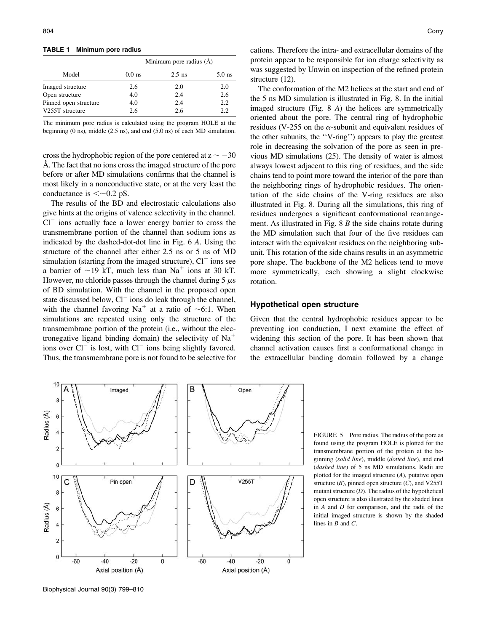TABLE 1 Minimum pore radius

| Model                 | Minimum pore radius $(\AA)$ |          |          |
|-----------------------|-----------------------------|----------|----------|
|                       | $0.0$ ns                    | $2.5$ ns | $5.0$ ns |
| Imaged structure      | 2.6                         | 2.0      | 2.0      |
| Open structure        | 4.0                         | 2.4      | 2.6      |
| Pinned open structure | 4.0                         | 2.4      | 2.2      |
| V255T structure       | 2.6                         | 2.6      | 2.2      |

The minimum pore radius is calculated using the program HOLE at the beginning (0 ns), middle (2.5 ns), and end (5.0 ns) of each MD simulation.

cross the hydrophobic region of the pore centered at  $z \sim -30$ Å. The fact that no ions cross the imaged structure of the pore before or after MD simulations confirms that the channel is most likely in a nonconductive state, or at the very least the conductance is  $\langle \sim 0.2 \text{ pS}.$ 

The results of the BD and electrostatic calculations also give hints at the origins of valence selectivity in the channel.  $Cl^-$  ions actually face a lower energy barrier to cross the transmembrane portion of the channel than sodium ions as indicated by the dashed-dot-dot line in Fig. 6 A. Using the structure of the channel after either 2.5 ns or 5 ns of MD simulation (starting from the imaged structure),  $Cl^-$  ions see a barrier of  $\sim$ 19 kT, much less than Na<sup>+</sup> ions at 30 kT. However, no chloride passes through the channel during  $5 \mu s$ of BD simulation. With the channel in the proposed open state discussed below,  $Cl^-$  ions do leak through the channel, with the channel favoring  $Na^+$  at a ratio of  $\sim 6:1$ . When simulations are repeated using only the structure of the transmembrane portion of the protein (i.e., without the electronegative ligand binding domain) the selectivity of  $Na<sup>+</sup>$ ions over  $Cl^-$  is lost, with  $Cl^-$  ions being slightly favored. Thus, the transmembrane pore is not found to be selective for cations. Therefore the intra- and extracellular domains of the protein appear to be responsible for ion charge selectivity as was suggested by Unwin on inspection of the refined protein structure (12).

The conformation of the M2 helices at the start and end of the 5 ns MD simulation is illustrated in Fig. 8. In the initial imaged structure (Fig. 8 A) the helices are symmetrically oriented about the pore. The central ring of hydrophobic residues (V-255 on the  $\alpha$ -subunit and equivalent residues of the other subunits, the ''V-ring'') appears to play the greatest role in decreasing the solvation of the pore as seen in previous MD simulations (25). The density of water is almost always lowest adjacent to this ring of residues, and the side chains tend to point more toward the interior of the pore than the neighboring rings of hydrophobic residues. The orientation of the side chains of the V-ring residues are also illustrated in Fig. 8. During all the simulations, this ring of residues undergoes a significant conformational rearrangement. As illustrated in Fig.  $8 \, B$  the side chains rotate during the MD simulation such that four of the five residues can interact with the equivalent residues on the neighboring subunit. This rotation of the side chains results in an asymmetric pore shape. The backbone of the M2 helices tend to move more symmetrically, each showing a slight clockwise rotation.

## Hypothetical open structure

Given that the central hydrophobic residues appear to be preventing ion conduction, I next examine the effect of widening this section of the pore. It has been shown that channel activation causes first a conformational change in the extracellular binding domain followed by a change



FIGURE 5 Pore radius. The radius of the pore as found using the program HOLE is plotted for the transmembrane portion of the protein at the beginning (solid line), middle (dotted line), and end (dashed line) of 5 ns MD simulations. Radii are plotted for the imaged structure  $(A)$ , putative open structure  $(B)$ , pinned open structure  $(C)$ , and V255T mutant structure  $(D)$ . The radius of the hypothetical open structure is also illustrated by the shaded lines in A and D for comparison, and the radii of the initial imaged structure is shown by the shaded lines in B and C.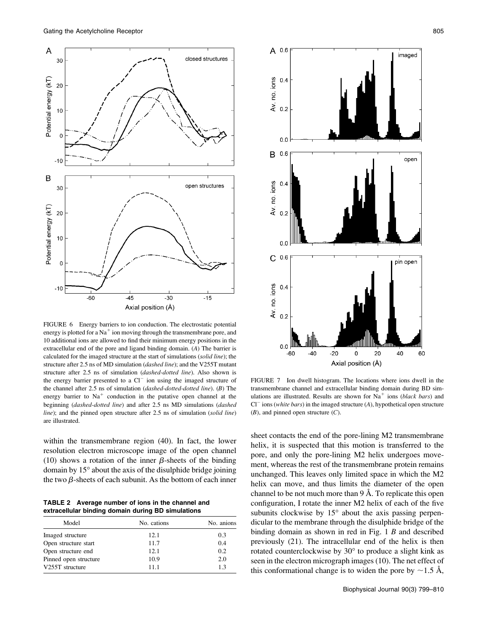

FIGURE 6 Energy barriers to ion conduction. The electrostatic potential energy is plotted for a  $Na<sup>+</sup>$  ion moving through the transmembrane pore, and 10 additional ions are allowed to find their minimum energy positions in the extracellular end of the pore and ligand binding domain. (A) The barrier is calculated for the imaged structure at the start of simulations (solid line); the structure after 2.5 ns of MD simulation (dashed line); and the V255T mutant structure after 2.5 ns of simulation (dashed-dotted line). Also shown is the energy barrier presented to a  $Cl^-$  ion using the imaged structure of the channel after 2.5 ns of simulation (dashed-dotted-dotted line). (B) The energy barrier to  $Na<sup>+</sup>$  conduction in the putative open channel at the beginning (dashed-dotted line) and after 2.5 ns MD simulations (dashed line); and the pinned open structure after 2.5 ns of simulation (solid line) are illustrated.

within the transmembrane region (40). In fact, the lower resolution electron microscope image of the open channel (10) shows a rotation of the inner  $\beta$ -sheets of the binding domain by 15° about the axis of the disulphide bridge joining the two  $\beta$ -sheets of each subunit. As the bottom of each inner

TABLE 2 Average number of ions in the channel and extracellular binding domain during BD simulations

| Model                 | No. cations | No. anions     |
|-----------------------|-------------|----------------|
| Imaged structure      | 12.1        | 0.3            |
| Open structure start  | 11.7        | 0.4            |
| Open structure end    | 12.1        | 0.2            |
| Pinned open structure | 10.9        | 2.0            |
| V255T structure       | 11.1        | 1 <sup>3</sup> |



FIGURE 7 Ion dwell histogram. The locations where ions dwell in the transmembrane channel and extracellular binding domain during BD simulations are illustrated. Results are shown for  $Na<sup>+</sup>$  ions (black bars) and  $Cl<sup>-</sup>$  ions (white bars) in the imaged structure (A), hypothetical open structure  $(B)$ , and pinned open structure  $(C)$ .

sheet contacts the end of the pore-lining M2 transmembrane helix, it is suspected that this motion is transferred to the pore, and only the pore-lining M2 helix undergoes movement, whereas the rest of the transmembrane protein remains unchanged. This leaves only limited space in which the M2 helix can move, and thus limits the diameter of the open channel to be not much more than  $9 \text{ Å}$ . To replicate this open configuration, I rotate the inner M2 helix of each of the five subunits clockwise by  $15^{\circ}$  about the axis passing perpendicular to the membrane through the disulphide bridge of the binding domain as shown in red in Fig.  $1 \, B$  and described previously (21). The intracellular end of the helix is then rotated counterclockwise by  $30^{\circ}$  to produce a slight kink as seen in the electron micrograph images (10). The net effect of this conformational change is to widen the pore by  $\sim$ 1.5 Å,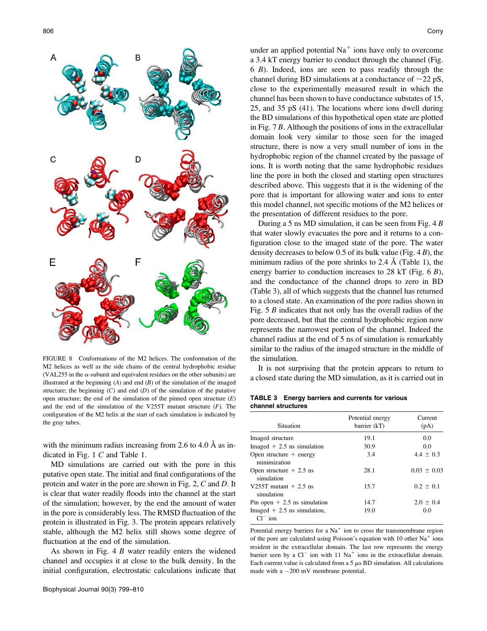

FIGURE 8 Conformations of the M2 helices. The conformation of the M2 helices as well as the side chains of the central hydrophobic residue (VAL255 in the  $\alpha$ -subunit and equivalent residues on the other subunits) are illustrated at the beginning  $(A)$  and end  $(B)$  of the simulation of the imaged structure; the beginning  $(C)$  and end  $(D)$  of the simulation of the putative open structure; the end of the simulation of the pinned open structure  $(E)$ and the end of the simulation of the V255T mutant structure  $(F)$ . The configuration of the M2 helix at the start of each simulation is indicated by the gray tubes.

with the minimum radius increasing from 2.6 to 4.0  $\AA$  as indicated in Fig. 1 C and Table 1.

MD simulations are carried out with the pore in this putative open state. The initial and final configurations of the protein and water in the pore are shown in Fig. 2, C and D. It is clear that water readily floods into the channel at the start of the simulation; however, by the end the amount of water in the pore is considerably less. The RMSD fluctuation of the protein is illustrated in Fig. 3. The protein appears relatively stable, although the M2 helix still shows some degree of fluctuation at the end of the simulation.

As shown in Fig. 4 B water readily enters the widened channel and occupies it at close to the bulk density. In the initial configuration, electrostatic calculations indicate that under an applied potential  $Na<sup>+</sup>$  ions have only to overcome a 3.4 kT energy barrier to conduct through the channel (Fig. 6 B). Indeed, ions are seen to pass readily through the channel during BD simulations at a conductance of  $\sim$ 22 pS, close to the experimentally measured result in which the channel has been shown to have conductance substates of 15, 25, and 35 pS (41). The locations where ions dwell during the BD simulations of this hypothetical open state are plotted in Fig. 7 B. Although the positions of ions in the extracellular domain look very similar to those seen for the imaged structure, there is now a very small number of ions in the hydrophobic region of the channel created by the passage of ions. It is worth noting that the same hydrophobic residues line the pore in both the closed and starting open structures described above. This suggests that it is the widening of the pore that is important for allowing water and ions to enter this model channel, not specific motions of the M2 helices or the presentation of different residues to the pore.

During a 5 ns MD simulation, it can be seen from Fig.  $4 B$ that water slowly evacuates the pore and it returns to a configuration close to the imaged state of the pore. The water density decreases to below 0.5 of its bulk value (Fig.  $4B$ ), the minimum radius of the pore shrinks to 2.4  $\AA$  (Table 1), the energy barrier to conduction increases to 28 kT (Fig. 6 B), and the conductance of the channel drops to zero in BD (Table 3), all of which suggests that the channel has returned to a closed state. An examination of the pore radius shown in Fig.  $5 B$  indicates that not only has the overall radius of the pore decreased, but that the central hydrophobic region now represents the narrowest portion of the channel. Indeed the channel radius at the end of 5 ns of simulation is remarkably similar to the radius of the imaged structure in the middle of the simulation.

It is not surprising that the protein appears to return to a closed state during the MD simulation, as it is carried out in

#### TABLE 3 Energy barriers and currents for various channel structures

| Situation                                  | Potential energy<br>barrier (kT) | Current<br>(pA) |
|--------------------------------------------|----------------------------------|-----------------|
| Imaged structure                           | 19.1                             | 0.0             |
| Imaged $+2.5$ ns simulation                | 30.9                             | 0.0             |
| Open structure $+$ energy<br>minimization  | 3.4                              | $4.4 \pm 0.3$   |
| Open structure $+2.5$ ns<br>simulation     | 28.1                             | $0.03 \pm 0.03$ |
| V255T mutant $+2.5$ ns<br>simulation       | 15.7                             | $0.2 \pm 0.1$   |
| Pin open $+2.5$ ns simulation              | 14.7                             | $2.0 \pm 0.4$   |
| Imaged $+2.5$ ns simulation,<br>$Cl^-$ ion | 19.0                             | 0.0             |

Potential energy barriers for a  $Na<sup>+</sup>$  ion to cross the transmembrane region of the pore are calculated using Poisson's equation with 10 other  $Na<sup>+</sup>$  ions resident in the extracellular domain. The last row represents the energy barrier seen by a  $Cl^-$  ion with 11 Na<sup>+</sup> ions in the extracellular domain. Each current value is calculated from a  $5 \mu s$  BD simulation. All calculations made with a  $-200$  mV membrane potential.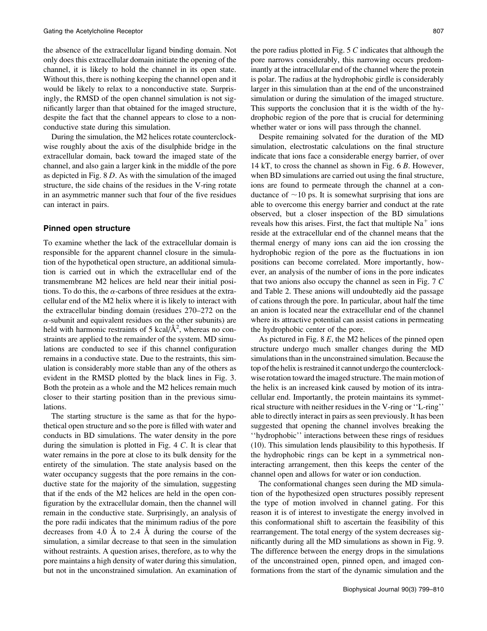the absence of the extracellular ligand binding domain. Not only does this extracellular domain initiate the opening of the channel, it is likely to hold the channel in its open state. Without this, there is nothing keeping the channel open and it would be likely to relax to a nonconductive state. Surprisingly, the RMSD of the open channel simulation is not significantly larger than that obtained for the imaged structure, despite the fact that the channel appears to close to a nonconductive state during this simulation.

During the simulation, the M2 helices rotate counterclockwise roughly about the axis of the disulphide bridge in the extracellular domain, back toward the imaged state of the channel, and also gain a larger kink in the middle of the pore as depicted in Fig. 8 D. As with the simulation of the imaged structure, the side chains of the residues in the V-ring rotate in an asymmetric manner such that four of the five residues can interact in pairs.

#### Pinned open structure

To examine whether the lack of the extracellular domain is responsible for the apparent channel closure in the simulation of the hypothetical open structure, an additional simulation is carried out in which the extracellular end of the transmembrane M2 helices are held near their initial positions. To do this, the  $\alpha$ -carbons of three residues at the extracellular end of the M2 helix where it is likely to interact with the extracellular binding domain (residues 270–272 on the  $\alpha$ -subunit and equivalent residues on the other subunits) are held with harmonic restraints of 5 kcal/ $A<sup>2</sup>$ , whereas no constraints are applied to the remainder of the system. MD simulations are conducted to see if this channel configuration remains in a conductive state. Due to the restraints, this simulation is considerably more stable than any of the others as evident in the RMSD plotted by the black lines in Fig. 3. Both the protein as a whole and the M2 helices remain much closer to their starting position than in the previous simulations.

The starting structure is the same as that for the hypothetical open structure and so the pore is filled with water and conducts in BD simulations. The water density in the pore during the simulation is plotted in Fig. 4 C. It is clear that water remains in the pore at close to its bulk density for the entirety of the simulation. The state analysis based on the water occupancy suggests that the pore remains in the conductive state for the majority of the simulation, suggesting that if the ends of the M2 helices are held in the open configuration by the extracellular domain, then the channel will remain in the conductive state. Surprisingly, an analysis of the pore radii indicates that the minimum radius of the pore decreases from 4.0  $\AA$  to 2.4  $\AA$  during the course of the simulation, a similar decrease to that seen in the simulation without restraints. A question arises, therefore, as to why the pore maintains a high density of water during this simulation, but not in the unconstrained simulation. An examination of

the pore radius plotted in Fig. 5 C indicates that although the pore narrows considerably, this narrowing occurs predominantly at the intracellular end of the channel where the protein is polar. The radius at the hydrophobic girdle is considerably larger in this simulation than at the end of the unconstrained simulation or during the simulation of the imaged structure. This supports the conclusion that it is the width of the hydrophobic region of the pore that is crucial for determining whether water or ions will pass through the channel.

Despite remaining solvated for the duration of the MD simulation, electrostatic calculations on the final structure indicate that ions face a considerable energy barrier, of over 14 kT, to cross the channel as shown in Fig. 6 B. However, when BD simulations are carried out using the final structure, ions are found to permeate through the channel at a conductance of  $\sim$ 10 ps. It is somewhat surprising that ions are able to overcome this energy barrier and conduct at the rate observed, but a closer inspection of the BD simulations reveals how this arises. First, the fact that multiple  $Na<sup>+</sup>$  ions reside at the extracellular end of the channel means that the thermal energy of many ions can aid the ion crossing the hydrophobic region of the pore as the fluctuations in ion positions can become correlated. More importantly, however, an analysis of the number of ions in the pore indicates that two anions also occupy the channel as seen in Fig. 7 C and Table 2. These anions will undoubtedly aid the passage of cations through the pore. In particular, about half the time an anion is located near the extracellular end of the channel where its attractive potential can assist cations in permeating the hydrophobic center of the pore.

As pictured in Fig. 8 E, the M2 helices of the pinned open structure undergo much smaller changes during the MD simulations than in the unconstrained simulation. Because the top of the helix is restrained it cannot undergo the counterclockwise rotation toward the imaged structure. The main motion of the helix is an increased kink caused by motion of its intracellular end. Importantly, the protein maintains its symmetrical structure with neither residues in the V-ring or ''L-ring'' able to directly interact in pairs as seen previously. It has been suggested that opening the channel involves breaking the ''hydrophobic'' interactions between these rings of residues (10). This simulation lends plausibility to this hypothesis. If the hydrophobic rings can be kept in a symmetrical noninteracting arrangement, then this keeps the center of the channel open and allows for water or ion conduction.

The conformational changes seen during the MD simulation of the hypothesized open structures possibly represent the type of motion involved in channel gating. For this reason it is of interest to investigate the energy involved in this conformational shift to ascertain the feasibility of this rearrangement. The total energy of the system decreases significantly during all the MD simulations as shown in Fig. 9. The difference between the energy drops in the simulations of the unconstrained open, pinned open, and imaged conformations from the start of the dynamic simulation and the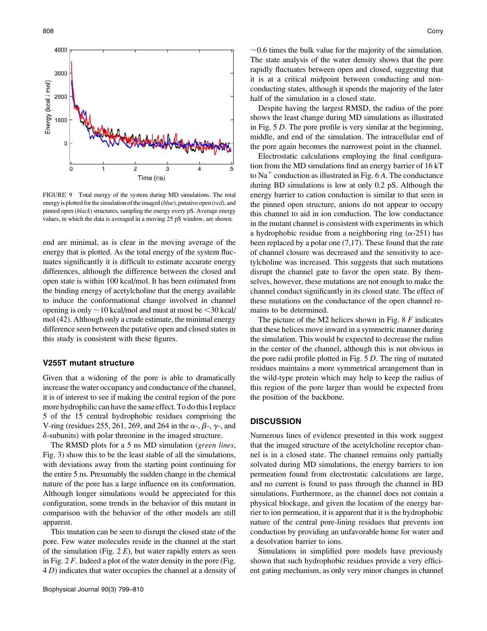

FIGURE 9 Total energy of the system during MD simulations. The total energy is plotted for the simulation of the imaged (blue), putative open (red), and pinned open (black) structures, sampling the energy every pS. Average energy values, in which the data is averaged in a moving 25 pS window, are shown.

end are minimal, as is clear in the moving average of the energy that is plotted. As the total energy of the system fluctuates significantly it is difficult to estimate accurate energy differences, although the difference between the closed and open state is within 100 kcal/mol. It has been estimated from the binding energy of acetylcholine that the energy available to induce the conformational change involved in channel opening is only  $\sim$ 10 kcal/mol and must at most be  $\leq$ 30 kcal/ mol (42). Although only a crude estimate, the minimal energy difference seen between the putative open and closed states in this study is consistent with these figures.

## V255T mutant structure

Given that a widening of the pore is able to dramatically increase the water occupancy and conductance of the channel, it is of interest to see if making the central region of the pore more hydrophilic can have the same effect. To do this I replace 5 of the 15 central hydrophobic residues comprising the V-ring (residues 255, 261, 269, and 264 in the  $\alpha$ -,  $\beta$ -,  $\gamma$ -, and  $\delta$ -subunits) with polar threonine in the imaged structure.

The RMSD plots for a 5 ns MD simulation (green lines, Fig. 3) show this to be the least stable of all the simulations, with deviations away from the starting point continuing for the entire 5 ns. Presumably the sudden change in the chemical nature of the pore has a large influence on its conformation. Although longer simulations would be appreciated for this configuration, some trends in the behavior of this mutant in comparison with the behavior of the other models are still apparent.

This mutation can be seen to disrupt the closed state of the pore. Few water molecules reside in the channel at the start of the simulation (Fig.  $2 E$ ), but water rapidly enters as seen in Fig.  $2 F$ . Indeed a plot of the water density in the pore (Fig. 4 D) indicates that water occupies the channel at a density of  $\sim$ 0.6 times the bulk value for the majority of the simulation. The state analysis of the water density shows that the pore rapidly fluctuates between open and closed, suggesting that it is at a critical midpoint between conducting and nonconducting states, although it spends the majority of the later half of the simulation in a closed state.

Despite having the largest RMSD, the radius of the pore shows the least change during MD simulations as illustrated in Fig. 5 D. The pore profile is very similar at the beginning, middle, and end of the simulation. The intracellular end of the pore again becomes the narrowest point in the channel.

Electrostatic calculations employing the final configuration from the MD simulations find an energy barrier of 16 kT to  $Na<sup>+</sup>$  conduction as illustrated in Fig. 6 A. The conductance during BD simulations is low at only 0.2 pS. Although the energy barrier to cation conduction is similar to that seen in the pinned open structure, anions do not appear to occupy this channel to aid in ion conduction. The low conductance in the mutant channel is consistent with experiments in which a hydrophobic residue from a neighboring ring  $(\alpha$ -251) has been replaced by a polar one (7,17). These found that the rate of channel closure was decreased and the sensitivity to acetylcholine was increased. This suggests that such mutations disrupt the channel gate to favor the open state. By themselves, however, these mutations are not enough to make the channel conduct significantly in its closed state. The effect of these mutations on the conductance of the open channel remains to be determined.

The picture of the M2 helices shown in Fig.  $8 F$  indicates that these helices move inward in a symmetric manner during the simulation. This would be expected to decrease the radius in the center of the channel, although this is not obvious in the pore radii profile plotted in Fig. 5 D. The ring of mutated residues maintains a more symmetrical arrangement than in the wild-type protein which may help to keep the radius of this region of the pore larger than would be expected from the position of the backbone.

## **DISCUSSION**

Numerous lines of evidence presented in this work suggest that the imaged structure of the acetylcholine receptor channel is in a closed state. The channel remains only partially solvated during MD simulations, the energy barriers to ion permeation found from electrostatic calculations are large, and no current is found to pass through the channel in BD simulations. Furthermore, as the channel does not contain a physical blockage, and given the location of the energy barrier to ion permeation, it is apparent that it is the hydrophobic nature of the central pore-lining residues that prevents ion conduction by providing an unfavorable home for water and a desolvation barrier to ions.

Simulations in simplified pore models have previously shown that such hydrophobic residues provide a very efficient gating mechanism, as only very minor changes in channel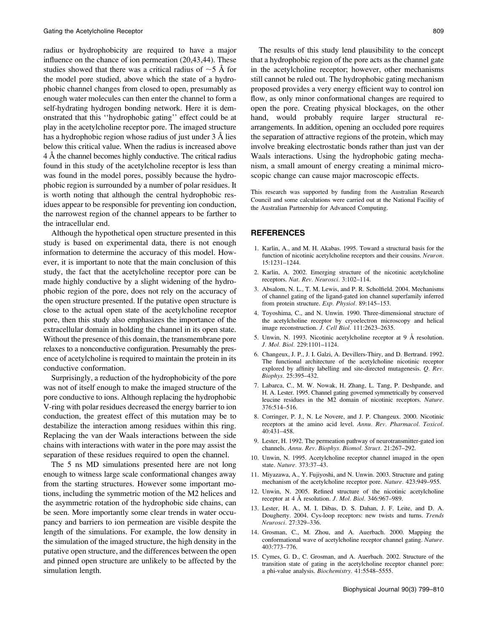radius or hydrophobicity are required to have a major influence on the chance of ion permeation (20,43,44). These studies showed that there was a critical radius of  $\sim$  5 Å for the model pore studied, above which the state of a hydrophobic channel changes from closed to open, presumably as enough water molecules can then enter the channel to form a self-hydrating hydrogen bonding network. Here it is demonstrated that this ''hydrophobic gating'' effect could be at play in the acetylcholine receptor pore. The imaged structure has a hydrophobic region whose radius of just under  $3 \text{ Å}$  lies below this critical value. When the radius is increased above 4 Å the channel becomes highly conductive. The critical radius found in this study of the acetylcholine receptor is less than was found in the model pores, possibly because the hydrophobic region is surrounded by a number of polar residues. It is worth noting that although the central hydrophobic residues appear to be responsible for preventing ion conduction, the narrowest region of the channel appears to be farther to the intracellular end.

Although the hypothetical open structure presented in this study is based on experimental data, there is not enough information to determine the accuracy of this model. However, it is important to note that the main conclusion of this study, the fact that the acetylcholine receptor pore can be made highly conductive by a slight widening of the hydrophobic region of the pore, does not rely on the accuracy of the open structure presented. If the putative open structure is close to the actual open state of the acetylcholine receptor pore, then this study also emphasizes the importance of the extracellular domain in holding the channel in its open state. Without the presence of this domain, the transmembrane pore relaxes to a nonconductive configuration. Presumably the presence of acetylcholine is required to maintain the protein in its conductive conformation.

Surprisingly, a reduction of the hydrophobicity of the pore was not of itself enough to make the imaged structure of the pore conductive to ions. Although replacing the hydrophobic V-ring with polar residues decreased the energy barrier to ion conduction, the greatest effect of this mutation may be to destabilize the interaction among residues within this ring. Replacing the van der Waals interactions between the side chains with interactions with water in the pore may assist the separation of these residues required to open the channel.

The 5 ns MD simulations presented here are not long enough to witness large scale conformational changes away from the starting structures. However some important motions, including the symmetric motion of the M2 helices and the asymmetric rotation of the hydrophobic side chains, can be seen. More importantly some clear trends in water occupancy and barriers to ion permeation are visible despite the length of the simulations. For example, the low density in the simulation of the imaged structure, the high density in the putative open structure, and the differences between the open and pinned open structure are unlikely to be affected by the simulation length.

The results of this study lend plausibility to the concept that a hydrophobic region of the pore acts as the channel gate in the acetylcholine receptor; however, other mechanisms still cannot be ruled out. The hydrophobic gating mechanism proposed provides a very energy efficient way to control ion flow, as only minor conformational changes are required to open the pore. Creating physical blockages, on the other hand, would probably require larger structural rearrangements. In addition, opening an occluded pore requires the separation of attractive regions of the protein, which may involve breaking electrostatic bonds rather than just van der Waals interactions. Using the hydrophobic gating mechanism, a small amount of energy creating a minimal microscopic change can cause major macroscopic effects.

This research was supported by funding from the Australian Research Council and some calculations were carried out at the National Facility of the Australian Partnership for Advanced Computing.

## **REFERENCES**

- 1. Karlin, A., and M. H. Akabas. 1995. Toward a structural basis for the function of nicotinic acetylcholine receptors and their cousins. Neuron. 15:1231–1244.
- 2. Karlin, A. 2002. Emerging structure of the nicotinic acetylcholine receptors. Nat. Rev. Neurosci. 3:102–114.
- 3. Absalom, N. L., T. M. Lewis, and P. R. Scholfield. 2004. Mechanisms of channel gating of the ligand-gated ion channel superfamily inferred from protein structure. Exp. Physiol. 89:145–153.
- 4. Toyoshima, C., and N. Unwin. 1990. Three-dimensional structure of the acetylcholine receptor by cryoelectron microscopy and helical image reconstruction. J. Cell Biol. 111:2623–2635.
- 5. Unwin, N. 1993. Nicotinic acetylcholine receptor at 9 Å resolution. J. Mol. Biol. 229:1101–1124.
- 6. Changeux, J. P., J. I. Galzi, A. Devillers-Thiry, and D. Bertrand. 1992. The functional architecture of the acetylcholine nicotinic receptor explored by affinity labelling and site-directed mutagenesis. Q. Rev. Biophys. 25:395–432.
- 7. Labarca, C., M. W. Nowak, H. Zhang, L. Tang, P. Deshpande, and H. A. Lester. 1995. Channel gating governed symmetrically by conserved leucine residues in the M2 domain of nicotinic receptors. Nature. 376:514–516.
- 8. Corringer, P. J., N. Le Novere, and J. P. Changeux. 2000. Nicotinic receptors at the amino acid level. Annu. Rev. Pharmacol. Toxicol. 40:431–458.
- 9. Lester, H. 1992. The permeation pathway of neurotransmitter-gated ion channels. Annu. Rev. Biophys. Biomol. Struct. 21:267–292.
- 10. Unwin, N. 1995. Acetylcholine receptor channel imaged in the open state. Nature. 373:37–43.
- 11. Miyazawa, A., Y. Fujiyoshi, and N. Unwin. 2003. Structure and gating mechanism of the acetylcholine receptor pore. Nature. 423:949–955.
- 12. Unwin, N. 2005. Refined structure of the nicotinic acetylcholine receptor at 4 Å resolution. *J. Mol. Biol.* 346:967–989.
- 13. Lester, H. A., M. I. Dibas, D. S. Dahan, J. F. Leite, and D. A. Dougherty. 2004. Cys-loop receptors: new twists and turns. Trends Neurosci. 27:329–336.
- 14. Grosman, C., M. Zhou, and A. Auerbach. 2000. Mapping the conformational wave of acetylcholine receptor channel gating. Nature. 403:773–776.
- 15. Cymes, G. D., C. Grosman, and A. Auerbach. 2002. Structure of the transition state of gating in the acetylcholine receptor channel pore: a phi-value analysis. Biochemistry. 41:5548–5555.